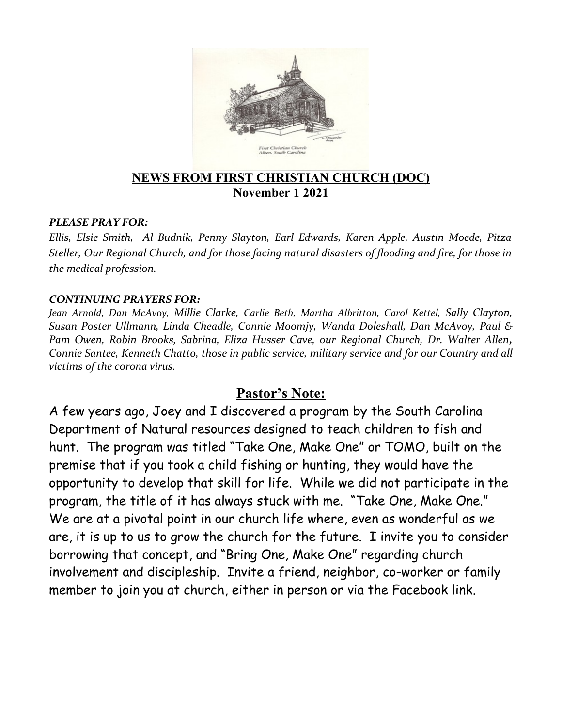

### **NEWS FROM FIRST CHRISTIAN CHURCH (DOC) November 1 2021**

#### *PLEASE PRAY FOR:*

*Ellis, Elsie Smith, Al Budnik, Penny Slayton, Earl Edwards, Karen Apple, Austin Moede, Pitza Steller, Our Regional Church, and for those facing natural disasters of flooding and fire, for those in the medical profession.*

#### *CONTINUING PRAYERS FOR:*

*Jean Arnold*, *Dan McAvoy, Millie Clarke, Carlie Beth, Martha Albritton, Carol Kettel, Sally Clayton, Susan Poster Ullmann, Linda Cheadle, Connie Moomjy, Wanda Doleshall, Dan McAvoy, Paul & Pam Owen, Robin Brooks, Sabrina, Eliza Husser Cave, our Regional Church, Dr. Walter Allen, Connie Santee, Kenneth Chatto, those in public service, military service and for our Country and all victims of the corona virus.* 

### **Pastor's Note:**

A few years ago, Joey and I discovered a program by the South Carolina Department of Natural resources designed to teach children to fish and hunt. The program was titled "Take One, Make One" or TOMO, built on the premise that if you took a child fishing or hunting, they would have the opportunity to develop that skill for life. While we did not participate in the program, the title of it has always stuck with me. "Take One, Make One." We are at a pivotal point in our church life where, even as wonderful as we are, it is up to us to grow the church for the future. I invite you to consider borrowing that concept, and "Bring One, Make One" regarding church involvement and discipleship. Invite a friend, neighbor, co-worker or family member to join you at church, either in person or via the Facebook link.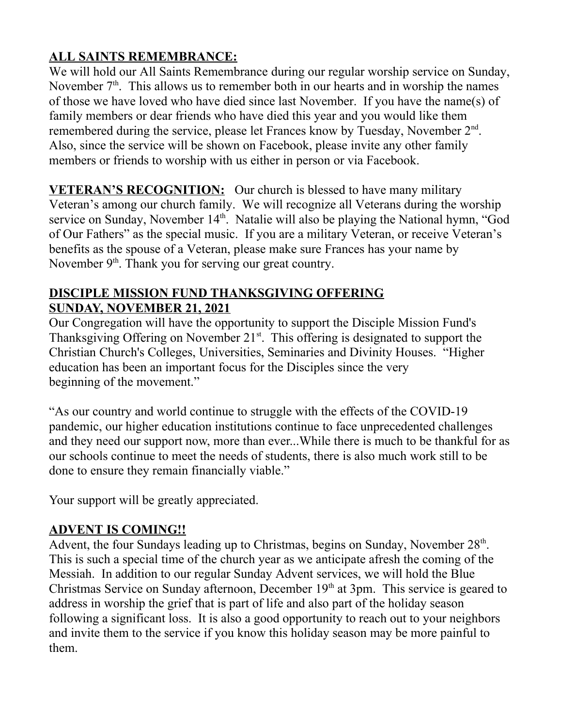# **ALL SAINTS REMEMBRANCE:**

We will hold our All Saints Remembrance during our regular worship service on Sunday, November  $7<sup>th</sup>$ . This allows us to remember both in our hearts and in worship the names of those we have loved who have died since last November. If you have the name(s) of family members or dear friends who have died this year and you would like them remembered during the service, please let Frances know by Tuesday, November 2<sup>nd</sup>. Also, since the service will be shown on Facebook, please invite any other family members or friends to worship with us either in person or via Facebook.

**VETERAN'S RECOGNITION:** Our church is blessed to have many military Veteran's among our church family. We will recognize all Veterans during the worship service on Sunday, November 14<sup>th</sup>. Natalie will also be playing the National hymn, "God of Our Fathers" as the special music. If you are a military Veteran, or receive Veteran's benefits as the spouse of a Veteran, please make sure Frances has your name by November  $9<sup>th</sup>$ . Thank you for serving our great country.

### **DISCIPLE MISSION FUND THANKSGIVING OFFERING SUNDAY, NOVEMBER 21, 2021**

Our Congregation will have the opportunity to support the Disciple Mission Fund's Thanksgiving Offering on November  $21<sup>st</sup>$ . This offering is designated to support the Christian Church's Colleges, Universities, Seminaries and Divinity Houses. "Higher education has been an important focus for the Disciples since the very beginning of the movement."

"As our country and world continue to struggle with the effects of the COVID-19 pandemic, our higher education institutions continue to face unprecedented challenges and they need our support now, more than ever...While there is much to be thankful for as our schools continue to meet the needs of students, there is also much work still to be done to ensure they remain financially viable."

Your support will be greatly appreciated.

# **ADVENT IS COMING!!**

Advent, the four Sundays leading up to Christmas, begins on Sunday, November  $28<sup>th</sup>$ . This is such a special time of the church year as we anticipate afresh the coming of the Messiah. In addition to our regular Sunday Advent services, we will hold the Blue Christmas Service on Sunday afternoon, December  $19<sup>th</sup>$  at 3pm. This service is geared to address in worship the grief that is part of life and also part of the holiday season following a significant loss. It is also a good opportunity to reach out to your neighbors and invite them to the service if you know this holiday season may be more painful to them.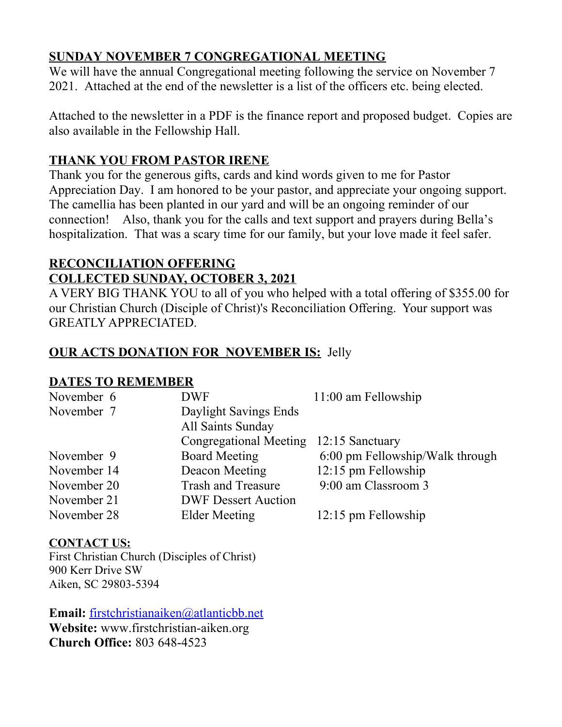# **SUNDAY NOVEMBER 7 CONGREGATIONAL MEETING**

We will have the annual Congregational meeting following the service on November 7 2021. Attached at the end of the newsletter is a list of the officers etc. being elected.

Attached to the newsletter in a PDF is the finance report and proposed budget. Copies are also available in the Fellowship Hall.

# **THANK YOU FROM PASTOR IRENE**

Thank you for the generous gifts, cards and kind words given to me for Pastor Appreciation Day. I am honored to be your pastor, and appreciate your ongoing support. The camellia has been planted in our yard and will be an ongoing reminder of our connection! Also, thank you for the calls and text support and prayers during Bella's hospitalization. That was a scary time for our family, but your love made it feel safer.

# **RECONCILIATION OFFERING COLLECTED SUNDAY, OCTOBER 3, 2021**

A VERY BIG THANK YOU to all of you who helped with a total offering of \$355.00 for our Christian Church (Disciple of Christ)'s Reconciliation Offering. Your support was GREATLY APPRECIATED.

# **OUR ACTS DONATION FOR NOVEMBER IS:** Jelly

### **DATES TO REMEMBER**

| November 6  | <b>DWF</b>                 | $11:00$ am Fellowship           |
|-------------|----------------------------|---------------------------------|
| November 7  | Daylight Savings Ends      |                                 |
|             | All Saints Sunday          |                                 |
|             | Congregational Meeting     | 12:15 Sanctuary                 |
| November 9  | <b>Board Meeting</b>       | 6:00 pm Fellowship/Walk through |
| November 14 | Deacon Meeting             | 12:15 pm Fellowship             |
| November 20 | <b>Trash and Treasure</b>  | 9:00 am Classroom 3             |
| November 21 | <b>DWF Dessert Auction</b> |                                 |
| November 28 | Elder Meeting              | 12:15 pm Fellowship             |

### **CONTACT US:**

First Christian Church (Disciples of Christ) 900 Kerr Drive SW Aiken, SC 29803-5394

**Email:** [firstchristianaiken@atlanticbb.net](mailto:firstchristianaiken@atlanticbb.net) **Website:** www.firstchristian-aiken.org **Church Office:** 803 648-4523